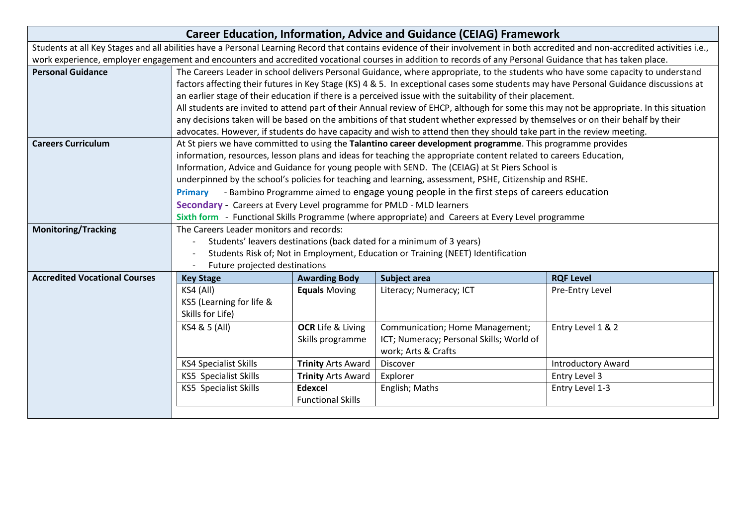| <b>Career Education, Information, Advice and Guidance (CEIAG) Framework</b>                                                                                                     |                                                                                                                                          |                           |                                                                                                                                |                           |  |
|---------------------------------------------------------------------------------------------------------------------------------------------------------------------------------|------------------------------------------------------------------------------------------------------------------------------------------|---------------------------|--------------------------------------------------------------------------------------------------------------------------------|---------------------------|--|
| Students at all Key Stages and all abilities have a Personal Learning Record that contains evidence of their involvement in both accredited and non-accredited activities i.e., |                                                                                                                                          |                           |                                                                                                                                |                           |  |
| work experience, employer engagement and encounters and accredited vocational courses in addition to records of any Personal Guidance that has taken place.                     |                                                                                                                                          |                           |                                                                                                                                |                           |  |
| <b>Personal Guidance</b>                                                                                                                                                        | The Careers Leader in school delivers Personal Guidance, where appropriate, to the students who have some capacity to understand         |                           |                                                                                                                                |                           |  |
|                                                                                                                                                                                 | factors affecting their futures in Key Stage (KS) 4 & 5. In exceptional cases some students may have Personal Guidance discussions at    |                           |                                                                                                                                |                           |  |
|                                                                                                                                                                                 | an earlier stage of their education if there is a perceived issue with the suitability of their placement.                               |                           |                                                                                                                                |                           |  |
|                                                                                                                                                                                 | All students are invited to attend part of their Annual review of EHCP, although for some this may not be appropriate. In this situation |                           |                                                                                                                                |                           |  |
|                                                                                                                                                                                 |                                                                                                                                          |                           | any decisions taken will be based on the ambitions of that student whether expressed by themselves or on their behalf by their |                           |  |
|                                                                                                                                                                                 |                                                                                                                                          |                           | advocates. However, if students do have capacity and wish to attend then they should take part in the review meeting.          |                           |  |
| <b>Careers Curriculum</b>                                                                                                                                                       | At St piers we have committed to using the Talantino career development programme. This programme provides                               |                           |                                                                                                                                |                           |  |
|                                                                                                                                                                                 | information, resources, lesson plans and ideas for teaching the appropriate content related to careers Education,                        |                           |                                                                                                                                |                           |  |
|                                                                                                                                                                                 | Information, Advice and Guidance for young people with SEND. The (CEIAG) at St Piers School is                                           |                           |                                                                                                                                |                           |  |
|                                                                                                                                                                                 |                                                                                                                                          |                           | underpinned by the school's policies for teaching and learning, assessment, PSHE, Citizenship and RSHE.                        |                           |  |
|                                                                                                                                                                                 | Primary - Bambino Programme aimed to engage young people in the first steps of careers education                                         |                           |                                                                                                                                |                           |  |
|                                                                                                                                                                                 | Secondary - Careers at Every Level programme for PMLD - MLD learners                                                                     |                           |                                                                                                                                |                           |  |
|                                                                                                                                                                                 |                                                                                                                                          |                           | Sixth form - Functional Skills Programme (where appropriate) and Careers at Every Level programme                              |                           |  |
| <b>Monitoring/Tracking</b>                                                                                                                                                      | The Careers Leader monitors and records:                                                                                                 |                           |                                                                                                                                |                           |  |
|                                                                                                                                                                                 | Students' leavers destinations (back dated for a minimum of 3 years)                                                                     |                           |                                                                                                                                |                           |  |
|                                                                                                                                                                                 | Students Risk of; Not in Employment, Education or Training (NEET) Identification                                                         |                           |                                                                                                                                |                           |  |
|                                                                                                                                                                                 | Future projected destinations                                                                                                            |                           |                                                                                                                                |                           |  |
| <b>Accredited Vocational Courses</b>                                                                                                                                            | <b>Key Stage</b>                                                                                                                         | <b>Awarding Body</b>      | <b>Subject area</b>                                                                                                            | <b>RQF Level</b>          |  |
|                                                                                                                                                                                 | KS4 (All)                                                                                                                                | <b>Equals Moving</b>      | Literacy; Numeracy; ICT                                                                                                        | Pre-Entry Level           |  |
|                                                                                                                                                                                 | KS5 (Learning for life &                                                                                                                 |                           |                                                                                                                                |                           |  |
|                                                                                                                                                                                 | Skills for Life)                                                                                                                         |                           |                                                                                                                                |                           |  |
|                                                                                                                                                                                 | KS4 & 5 (All)                                                                                                                            | <b>OCR</b> Life & Living  | Communication; Home Management;                                                                                                | Entry Level 1 & 2         |  |
|                                                                                                                                                                                 |                                                                                                                                          | Skills programme          | ICT; Numeracy; Personal Skills; World of                                                                                       |                           |  |
|                                                                                                                                                                                 |                                                                                                                                          |                           | work; Arts & Crafts                                                                                                            |                           |  |
|                                                                                                                                                                                 | <b>KS4 Specialist Skills</b>                                                                                                             | <b>Trinity Arts Award</b> | Discover                                                                                                                       | <b>Introductory Award</b> |  |
|                                                                                                                                                                                 | KS5 Specialist Skills                                                                                                                    | <b>Trinity Arts Award</b> | Explorer                                                                                                                       | Entry Level 3             |  |
|                                                                                                                                                                                 | KS5 Specialist Skills                                                                                                                    | Edexcel                   | English; Maths                                                                                                                 | Entry Level 1-3           |  |
|                                                                                                                                                                                 |                                                                                                                                          | <b>Functional Skills</b>  |                                                                                                                                |                           |  |
|                                                                                                                                                                                 |                                                                                                                                          |                           |                                                                                                                                |                           |  |